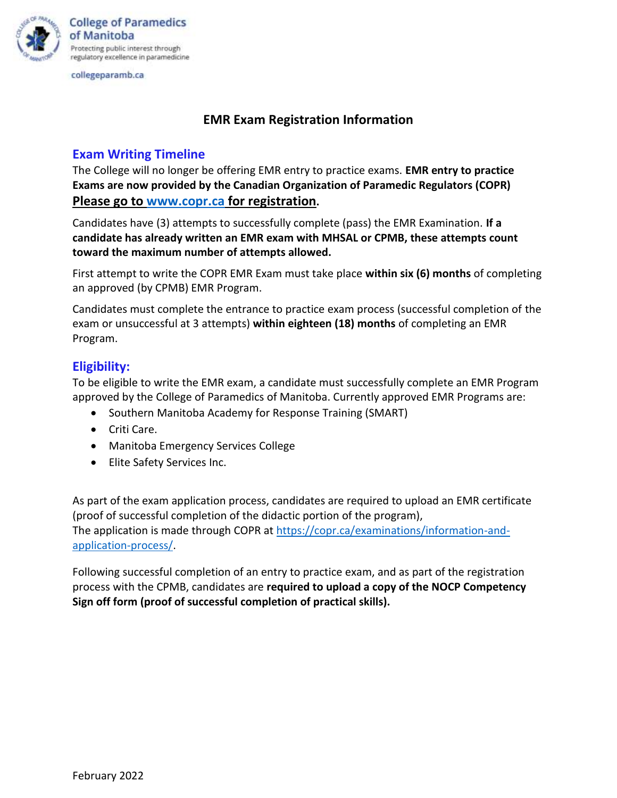

collegeparamb.ca

## **EMR Exam Registration Information**

#### **Exam Writing Timeline**

The College will no longer be offering EMR entry to practice exams. **EMR entry to practice Exams are now provided by the Canadian Organization of Paramedic Regulators (COPR) Please go to [www.copr.ca](http://www.copr.ca/) for registration.**

Candidates have (3) attempts to successfully complete (pass) the EMR Examination. **If a candidate has already written an EMR exam with MHSAL or CPMB, these attempts count toward the maximum number of attempts allowed.**

First attempt to write the COPR EMR Exam must take place **within six (6) months** of completing an approved (by CPMB) EMR Program.

Candidates must complete the entrance to practice exam process (successful completion of the exam or unsuccessful at 3 attempts) **within eighteen (18) months** of completing an EMR Program.

## **Eligibility:**

To be eligible to write the EMR exam, a candidate must successfully complete an EMR Program approved by the College of Paramedics of Manitoba. Currently approved EMR Programs are:

- Southern Manitoba Academy for Response Training (SMART)
- Criti Care.
- Manitoba Emergency Services College
- Elite Safety Services Inc.

As part of the exam application process, candidates are required to upload an EMR certificate (proof of successful completion of the didactic portion of the program), The application is made through COPR at [https://copr.ca/examinations/information-and](https://copr.ca/examinations/information-and-application-process/)[application-process/.](https://copr.ca/examinations/information-and-application-process/)

Following successful completion of an entry to practice exam, and as part of the registration process with the CPMB, candidates are **required to upload a copy of the NOCP Competency Sign off form (proof of successful completion of practical skills).**